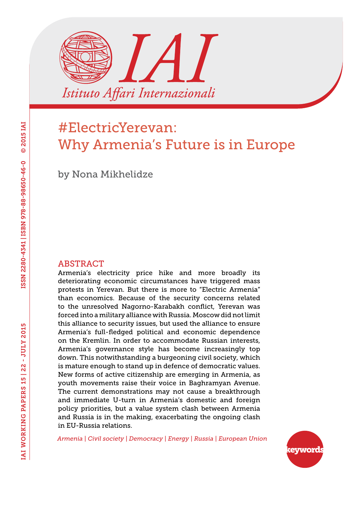

# #ElectricYerevan: Why Armenia's Future is in Europe

by Nona Mikhelidze

#### ABSTRACT

Armenia's electricity price hike and more broadly its deteriorating economic circumstances have triggered mass protests in Yerevan. But there is more to "Electric Armenia" than economics. Because of the security concerns related to the unresolved Nagorno-Karabakh conflict, Yerevan was forced into a military alliance with Russia. Moscow did not limit this alliance to security issues, but used the alliance to ensure Armenia's full-fledged political and economic dependence on the Kremlin. In order to accommodate Russian interests, Armenia's governance style has become increasingly top down. This notwithstanding a burgeoning civil society, which is mature enough to stand up in defence of democratic values. New forms of active citizenship are emerging in Armenia, as youth movements raise their voice in Baghramyan Avenue. The current demonstrations may not cause a breakthrough and immediate U-turn in Armenia's domestic and foreign policy priorities, but a value system clash between Armenia and Russia is in the making, exacerbating the ongoing clash in EU-Russia relations.

*Armenia | Civil society | Democracy | Energy | Russia | European Union*

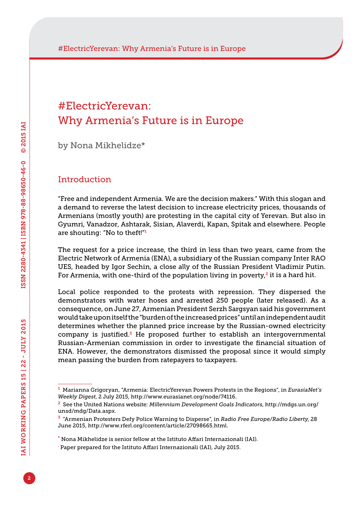### #ElectricYerevan: Why Armenia's Future is in Europe

by Nona Mikhelidze\*

#### Introduction

"Free and independent Armenia. We are the decision makers." With this slogan and a demand to reverse the latest decision to increase electricity prices, thousands of Armenians (mostly youth) are protesting in the capital city of Yerevan. But also in Gyumri, Vanadzor, Ashtarak, Sisian, Alaverdi, Kapan, Spitak and elsewhere. People are shouting: "No to theft!"<sup>1</sup>

The request for a price increase, the third in less than two years, came from the Electric Network of Armenia (ENA), a subsidiary of the Russian company Inter RAO UES, headed by Igor Sechin, a close ally of the Russian President Vladimir Putin. For Armenia, with one-third of the population living in poverty, $2$  it is a hard hit.

Local police responded to the protests with repression. They dispersed the demonstrators with water hoses and arrested 250 people (later released). As a consequence, on June 27, Armenian President Serzh Sargsyan said his government would take upon itself the "burden of the increased prices" until an independent audit determines whether the planned price increase by the Russian-owned electricity company is justified.<sup>3</sup> He proposed further to establish an intergovernmental Russian-Armenian commission in order to investigate the financial situation of ENA. However, the demonstrators dismissed the proposal since it would simply mean passing the burden from ratepayers to taxpayers.

<sup>1</sup> Marianna Grigoryan, "Armenia: ElectricYerevan Powers Protests in the Regions", in *EurasiaNet's Weekly Digest*, 2 July 2015, <http://www.eurasianet.org/node/74116>.

<sup>2</sup> See the United Nations website: *Millennium Development Goals Indicators*, [http://mdgs.un.org/](http://mdgs.un.org/unsd/mdg/Data.aspx) [unsd/mdg/Data.aspx](http://mdgs.un.org/unsd/mdg/Data.aspx).

<sup>3</sup> "Armenian Protesters Defy Police Warning to Disperse", in *Radio Free Europe/Radio Liberty*, 28 June 2015, <http://www.rferl.org/content/article/27098665.html>.

<sup>\*</sup> Nona Mikhelidze is senior fellow at the Istituto Affari Internazionali (IAI).

<sup>.</sup> Paper prepared for the Istituto Affari Internazionali (IAI), July 2015.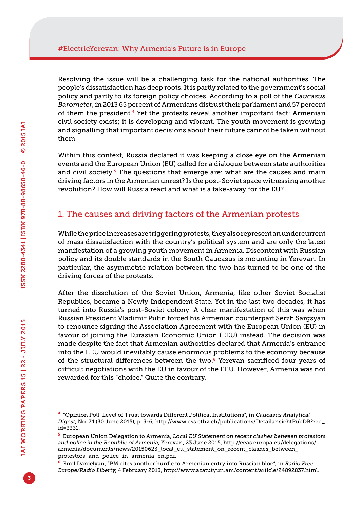Resolving the issue will be a challenging task for the national authorities. The people's dissatisfaction has deep roots. It is partly related to the government's social policy and partly to its foreign policy choices. According to a poll of the *Caucasus Barometer*, in 2013 65 percent of Armenians distrust their parliament and 57 percent of them the president.<sup>4</sup> Yet the protests reveal another important fact: Armenian civil society exists; it is developing and vibrant. The youth movement is growing and signalling that important decisions about their future cannot be taken without them.

Within this context, Russia declared it was keeping a close eye on the Armenian events and the European Union (EU) called for a dialogue between state authorities and civil society.<sup>5</sup> The questions that emerge are: what are the causes and main driving factors in the Armenian unrest? Is the post-Soviet space witnessing another revolution? How will Russia react and what is a take-away for the EU?

### 1. The causes and driving factors of the Armenian protests

While the price increases are triggering protests, they also represent an undercurrent of mass dissatisfaction with the country's political system and are only the latest manifestation of a growing youth movement in Armenia. Discontent with Russian policy and its double standards in the South Caucasus is mounting in Yerevan. In particular, the asymmetric relation between the two has turned to be one of the driving forces of the protests.

After the dissolution of the Soviet Union, Armenia, like other Soviet Socialist Republics, became a Newly Independent State. Yet in the last two decades, it has turned into Russia's post-Soviet colony. A clear manifestation of this was when Russian President Vladimir Putin forced his Armenian counterpart Serzh Sargsyan to renounce signing the Association Agreement with the European Union (EU) in favour of joining the Eurasian Economic Union (EEU) instead. The decision was made despite the fact that Armenian authorities declared that Armenia's entrance into the EEU would inevitably cause enormous problems to the economy because of the structural differences between the two.<sup>6</sup> Yerevan sacrificed four years of difficult negotiations with the EU in favour of the EEU. However, Armenia was not rewarded for this "choice." Quite the contrary.

<sup>4</sup> "Opinion Poll: Level of Trust towards Different Political Institutions", in *Caucasus Analytical Digest*, No. 74 (30 June 2015), p. 5-6, [http://www.css.ethz.ch/publications/DetailansichtPubDB?rec\\_](http://www.css.ethz.ch/publications/DetailansichtPubDB?rec_id=3331) [id=3331.](http://www.css.ethz.ch/publications/DetailansichtPubDB?rec_id=3331)

<sup>5</sup> European Union Delegation to Armenia, *Local EU Statement on recent clashes between protestors and police in the Republic of Armenia*, Yerevan, 23 June 2015, [http://eeas.europa.eu/delegations/](http://eeas.europa.eu/delegations/armenia/documents/news/20150623_local_eu_statement_on_recent_clashes_between_protestors_and_police_in_armenia_en.pdf) [armenia/documents/news/20150623\\_local\\_eu\\_statement\\_on\\_recent\\_clashes\\_between\\_](http://eeas.europa.eu/delegations/armenia/documents/news/20150623_local_eu_statement_on_recent_clashes_between_protestors_and_police_in_armenia_en.pdf) [protestors\\_and\\_police\\_in\\_armenia\\_en.pdf.](http://eeas.europa.eu/delegations/armenia/documents/news/20150623_local_eu_statement_on_recent_clashes_between_protestors_and_police_in_armenia_en.pdf)

<sup>6</sup> Emil Danielyan, "PM cites another hurdle to Armenian entry into Russian bloc", in *Radio Free Europe/Radio Liberty*, 4 February 2013, [http://www.azatutyun.am/content/article/24892837.html.](http://www.azatutyun.am/content/article/24892837.html)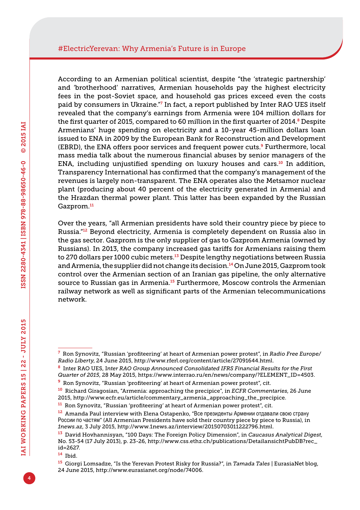According to an Armenian political scientist, despite "the 'strategic partnership' and 'brotherhood' narratives, Armenian households pay the highest electricity fees in the post-Soviet space, and household gas prices exceed even the costs paid by consumers in Ukraine."<sup>7</sup> In fact, a report published by Inter RAO UES itself revealed that the company's earnings from Armenia were 104 million dollars for the first quarter of 2015, compared to 60 million in the first quarter of 2014.<sup>8</sup> Despite Armenians' huge spending on electricity and a 10-year 45-million dollars loan issued to ENA in 2009 by the European Bank for Reconstruction and Development (EBRD), the ENA offers poor services and frequent power cuts.<sup>9</sup> Furthermore, local mass media talk about the numerous financial abuses by senior managers of the ENA, including unjustified spending on luxury houses and cars.<sup>10</sup> In addition, Transparency International has confirmed that the company's management of the revenues is largely non-transparent. The ENA operates also the Metsamor nuclear plant (producing about 40 percent of the electricity generated in Armenia) and the Hrazdan thermal power plant. This latter has been expanded by the Russian Gazprom.<sup>11</sup>

Over the years, "all Armenian presidents have sold their country piece by piece to Russia."12 Beyond electricity, Armenia is completely dependent on Russia also in the gas sector. Gazprom is the only supplier of gas to Gazprom Armenia (owned by Russians). In 2013, the company increased gas tariffs for Armenians raising them to 270 dollars per 1000 cubic meters.<sup>13</sup> Despite lengthy negotiations between Russia and Armenia, the supplier did not change its decision.<sup>14</sup> On June 2015, Gazprom took control over the Armenian section of an Iranian gas pipeline, the only alternative source to Russian gas in Armenia.<sup>15</sup> Furthermore, Moscow controls the Armenian railway network as well as significant parts of the Armenian telecommunications network.

<sup>14</sup> Ibid.

<sup>7</sup> Ron Synovitz, "Russian 'profiteering' at heart of Armenian power protest", in *Radio Free Europe/ Radio Liberty*, 24 June 2015, [http://www.rferl.org/content/article/27091644.html.](http://www.rferl.org/content/article/27091644.html)

<sup>8</sup> Inter RAO UES, I*nter RAO Group Announced Consolidated IFRS Financial Results for the First Quarter of 2015*, 28 May 2015, [https://www.interrao.ru/en/news/company/?ELEMENT\\_ID=4503.](https://www.interrao.ru/en/news/company/?ELEMENT_ID=4503)

<sup>9</sup> Ron Synovitz, "Russian 'profiteering' at heart of Armenian power protest", cit.

<sup>10</sup> Richard Giragosian, "Armenia: approaching the precipice", in *ECFR Commentaries*, 26 June 2015, [http://www.ecfr.eu/article/commentary\\_armenia\\_approaching\\_the\\_precipice](http://www.ecfr.eu/article/commentary_armenia_approaching_the_precipice).

<sup>11</sup> Ron Synovitz, "Russian 'profiteering' at heart of Armenian power protest", cit.

<sup>&</sup>lt;sup>12</sup> Amanda Paul interview with Elena Ostapenko, "Все президенты Армении отдавали свою страну России по частям" (All Armenian Presidents have sold their country piece by piece to Russia), in *<1news.az>*, 3 July 2015, [http://www.1news.az/interview/20150703011222796.html.](http://www.1news.az/interview/20150703011222796.html)

<sup>13</sup> David Hovhannisyan, "100 Days: The Foreign Policy Dimension", in *Caucasus Analytical Digest*, No. 53-54 (17 July 2013), p. 23-26, [http://www.css.ethz.ch/publications/DetailansichtPubDB?rec\\_](http://www.css.ethz.ch/publications/DetailansichtPubDB?rec_id=2627) [id=2627.](http://www.css.ethz.ch/publications/DetailansichtPubDB?rec_id=2627)

<sup>15</sup> Giorgi Lomsadze, "Is the Yerevan Protest Risky for Russia?", in *Tamada Tales* | EurasiaNet blog, 24 June 2015, <http://www.eurasianet.org/node/74006>.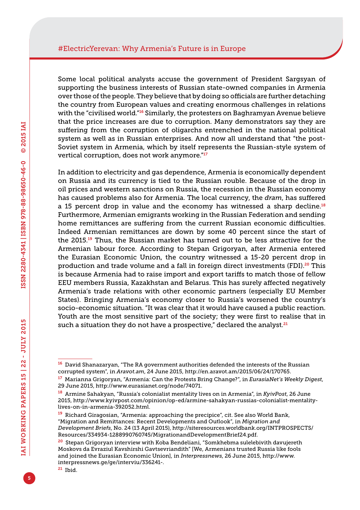Some local political analysts accuse the government of President Sargsyan of supporting the business interests of Russian state-owned companies in Armenia over those of the people. They believe that by doing so officials are further detaching the country from European values and creating enormous challenges in relations with the "civilised world."<sup>16</sup> Similarly, the protesters on Baghramyan Avenue believe that the price increases are due to corruption. Many demonstrators say they are suffering from the corruption of oligarchs entrenched in the national political system as well as in Russian enterprises. And now all understand that "the post-Soviet system in Armenia, which by itself represents the Russian-style system of vertical corruption, does not work anymore."<sup>17</sup>

In addition to electricity and gas dependence, Armenia is economically dependent on Russia and its currency is tied to the Russian rouble. Because of the drop in oil prices and western sanctions on Russia, the recession in the Russian economy has caused problems also for Armenia. The local currency, the *dram*, has suffered a 15 percent drop in value and the economy has witnessed a sharp decline.<sup>18</sup> Furthermore, Armenian emigrants working in the Russian Federation and sending home remittances are suffering from the current Russian economic difficulties. Indeed Armenian remittances are down by some 40 percent since the start of the 2015.19 Thus, the Russian market has turned out to be less attractive for the Armenian labour force. According to Stepan Grigoryan, after Armenia entered the Eurasian Economic Union, the country witnessed a 15-20 percent drop in production and trade volume and a fall in foreign direct investments (FDI).20 This is because Armenia had to raise import and export tariffs to match those of fellow EEU members Russia, Kazakhstan and Belarus. This has surely affected negatively Armenia's trade relations with other economic partners (especially EU Member States). Bringing Armenia's economy closer to Russia's worsened the country's socio-economic situation. "It was clear that it would have caused a public reaction. Youth are the most sensitive part of the society; they were first to realise that in such a situation they do not have a prospective," declared the analyst. $^{21}$ 

<sup>&</sup>lt;sup>16</sup> David Shanazaryan, "The RA government authorities defended the interests of the Russian corrupted system", in *<Aravot.am>*, 24 June 2015, <http://en.aravot.am/2015/06/24/170765>.

<sup>17</sup> Marianna Grigoryan, "Armenia: Can the Protests Bring Change?", in *EurasiaNet's Weekly Digest*, 29 June 2015, <http://www.eurasianet.org/node/74071>.

<sup>18</sup> Armine Sahakyan, "Russia's colonialist mentality lives on in Armenia", in *KyivPost*, 26 June 2015, [http://www.kyivpost.com/opinion/op-ed/armine-sahakyan-russias-colonialist-mentality](http://www.kyivpost.com/opinion/op-ed/armine-sahakyan-russias-colonialist-mentality-lives-on-in-armenia-392052.html)[lives-on-in-armenia-392052.html](http://www.kyivpost.com/opinion/op-ed/armine-sahakyan-russias-colonialist-mentality-lives-on-in-armenia-392052.html).

<sup>19</sup> Richard Giragosian, "Armenia: approaching the precipice", cit. See also World Bank, "Migration and Remittances: Recent Developments and Outlook", in *Migration and Development Briefs*, No. 24 (13 April 2015), [http://siteresources.worldbank.org/INTPROSPECTS/](http://siteresources.worldbank.org/INTPROSPECTS/Resources/334934-1288990760745/MigrationandDevelopmentBrief24.pdf) [Resources/334934-1288990760745/MigrationandDevelopmentBrief24.pdf](http://siteresources.worldbank.org/INTPROSPECTS/Resources/334934-1288990760745/MigrationandDevelopmentBrief24.pdf).

<sup>&</sup>lt;sup>20</sup> Stepan Grigoryan interview with Koba Bendeliani, "Somkhebma sulelebivith davujereth Moskovs da Evraziul Kavshirshi Gavtsevriandith" [We, Armenians trusted Russia like fools and joined the Eurasian Economic Union], in *Interpressnews*, 26 June 2015, [http://www.](http://www.interpressnews.ge/ge/interviu/336241-) [interpressnews.ge/ge/interviu/336241](http://www.interpressnews.ge/ge/interviu/336241-)-.

<sup>21</sup> Ibid.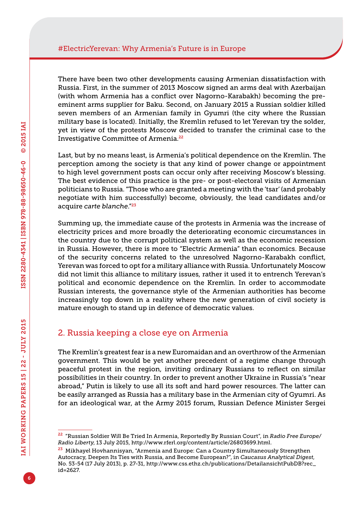There have been two other developments causing Armenian dissatisfaction with Russia. First, in the summer of 2013 Moscow signed an arms deal with Azerbaijan (with whom Armenia has a conflict over Nagorno-Karabakh) becoming the preeminent arms supplier for Baku. Second, on January 2015 a Russian soldier killed seven members of an Armenian family in Gyumri (the city where the Russian military base is located). Initially, the Kremlin refused to let Yerevan try the solder, yet in view of the protests Moscow decided to transfer the criminal case to the Investigative Committee of Armenia.<sup>22</sup>

Last, but by no means least, is Armenia's political dependence on the Kremlin. The perception among the society is that any kind of power change or appointment to high level government posts can occur only after receiving Moscow's blessing. The best evidence of this practice is the pre- or post-electoral visits of Armenian politicians to Russia. "Those who are granted a meeting with the 'tsar' (and probably negotiate with him successfully) become, obviously, the lead candidates and/or acquire *carte blanche*."<sup>23</sup>

Summing up, the immediate cause of the protests in Armenia was the increase of electricity prices and more broadly the deteriorating economic circumstances in the country due to the corrupt political system as well as the economic recession in Russia. However, there is more to "Electric Armenia" than economics. Because of the security concerns related to the unresolved Nagorno-Karabakh conflict, Yerevan was forced to opt for a military alliance with Russia. Unfortunately Moscow did not limit this alliance to military issues, rather it used it to entrench Yerevan's political and economic dependence on the Kremlin. In order to accommodate Russian interests, the governance style of the Armenian authorities has become increasingly top down in a reality where the new generation of civil society is mature enough to stand up in defence of democratic values.

#### 2. Russia keeping a close eye on Armenia

The Kremlin's greatest fear is a new Euromaidan and an overthrow of the Armenian government. This would be yet another precedent of a regime change through peaceful protest in the region, inviting ordinary Russians to reflect on similar possibilities in their country. In order to prevent another Ukraine in Russia's "near abroad," Putin is likely to use all its soft and hard power resources. The latter can be easily arranged as Russia has a military base in the Armenian city of Gyumri. As for an ideological war, at the Army 2015 forum, Russian Defence Minister Sergei

<sup>22</sup> "Russian Soldier Will Be Tried In Armenia, Reportedly By Russian Court", in *Radio Free Europe/ Radio Liberty*, 13 July 2015,<http://www.rferl.org/content/article/26803699.html>.

<sup>&</sup>lt;sup>23</sup> Mikhayel Hovhannisyan, "Armenia and Europe: Can a Country Simultaneously Strengthen Autocracy, Deepen Its Ties with Russia, and Become European?", in *Caucasus Analytical Digest*, No. 53-54 (17 July 2013), p. 27-31, [http://www.css.ethz.ch/publications/DetailansichtPubDB?rec\\_](http://www.css.ethz.ch/publications/DetailansichtPubDB?rec_id=2627) [id=2627.](http://www.css.ethz.ch/publications/DetailansichtPubDB?rec_id=2627)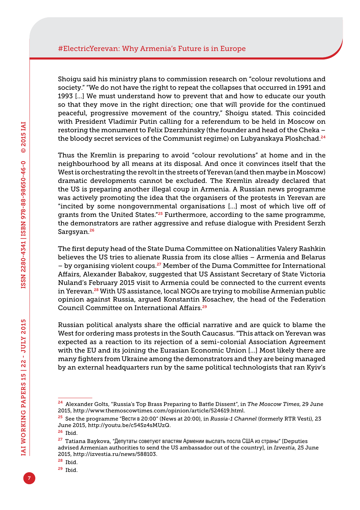Shoigu said his ministry plans to commission research on "colour revolutions and society." "We do not have the right to repeat the collapses that occurred in 1991 and 1993 […] We must understand how to prevent that and how to educate our youth so that they move in the right direction; one that will provide for the continued peaceful, progressive movement of the country," Shoigu stated. This coincided with President Vladimir Putin calling for a referendum to be held in Moscow on restoring the monument to Felix Dzerzhinsky (the founder and head of the Cheka – the bloody secret services of the Communist regime) on Lubyanskaya Ploshchad.<sup>24</sup>

Thus the Kremlin is preparing to avoid "colour revolutions" at home and in the neighbourhood by all means at its disposal. And once it convinces itself that the West is orchestrating the revolt in the streets of Yerevan (and then maybe in Moscow) dramatic developments cannot be excluded. The Kremlin already declared that the US is preparing another illegal coup in Armenia. A Russian news programme was actively promoting the idea that the organisers of the protests in Yerevan are "incited by some nongovernmental organisations [...] most of which live off of grants from the United States.<sup>"25</sup> Furthermore, according to the same programme, the demonstrators are rather aggressive and refuse dialogue with President Serzh Sargsyan.<sup>26</sup>

The first deputy head of the State Duma Committee on Nationalities Valery Rashkin believes the US tries to alienate Russia from its close allies – Armenia and Belarus  $-$  by organising violent coups.<sup>27</sup> Member of the Duma Committee for International Affairs, Alexander Babakov, suggested that US Assistant Secretary of State Victoria Nuland's February 2015 visit to Armenia could be connected to the current events in Yerevan.<sup>28</sup> With US assistance, local NGOs are trying to mobilise Armenian public opinion against Russia, argued Konstantin Kosachev, the head of the Federation Council Committee on International Affairs.<sup>29</sup>

Russian political analysts share the official narrative and are quick to blame the West for ordering mass protests in the South Caucasus. "This attack on Yerevan was expected as a reaction to its rejection of a semi-colonial Association Agreement with the EU and its joining the Eurasian Economic Union […] Most likely there are many fighters from Ukraine among the demonstrators and they are being managed by an external headquarters run by the same political technologists that ran Kyiv's

<sup>28</sup> Ibid.

<sup>29</sup> Ibid.

<sup>24</sup> Alexander Golts, "Russia's Top Brass Preparing to Battle Dissent", in *The Moscow Times*, 29 June 2015,<http://www.themoscowtimes.com/opinion/article/524619.html>.

<sup>25</sup> See the programme "Вести в 20:00" (News at 20:00), in *Russia-1 Channel* (formerly RTR Vesti), 23 June 2015, <http://youtu.be/c54Sz4sMUzQ>.

<sup>26</sup> Ibid.

<sup>&</sup>lt;sup>27</sup> Tatiana Baykova, "Депутаты советуют властям Армении выслать посла США из страны" [Deputies advised Armenian authorities to send the US ambassador out of the country], in *Izvestia*, 25 June 2015,<http://izvestia.ru/news/588103>.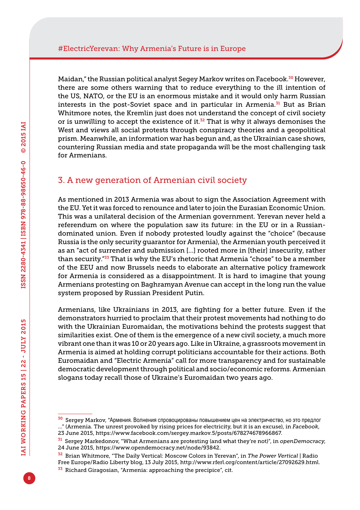Maidan," the Russian political analyst Segey Markov writes on Facebook.<sup>30</sup> However, there are some others warning that to reduce everything to the ill intention of the US, NATO, or the EU is an enormous mistake and it would only harm Russian interests in the post-Soviet space and in particular in Armenia.<sup>31</sup> But as Brian Whitmore notes, the Kremlin just does not understand the concept of civil society or is unwilling to accept the existence of it. $32$  That is why it always demonises the West and views all social protests through conspiracy theories and a geopolitical prism. Meanwhile, an information war has begun and, as the Ukrainian case shows, countering Russian media and state propaganda will be the most challenging task for Armenians.

#### 3. A new generation of Armenian civil society

As mentioned in 2013 Armenia was about to sign the Association Agreement with the EU. Yet it was forced to renounce and later to join the Eurasian Economic Union. This was a unilateral decision of the Armenian government. Yerevan never held a referendum on where the population saw its future: in the EU or in a Russiandominated union. Even if nobody protested loudly against the "choice" (because Russia is the only security guarantor for Armenia), the Armenian youth perceived it as an "act of surrender and submission […] rooted more in [their] insecurity, rather than security."33 That is why the EU's rhetoric that Armenia "chose" to be a member of the EEU and now Brussels needs to elaborate an alternative policy framework for Armenia is considered as a disappointment. It is hard to imagine that young Armenians protesting on Baghramyan Avenue can accept in the long run the value system proposed by Russian President Putin.

Armenians, like Ukrainians in 2013, are fighting for a better future. Even if the demonstrators hurried to proclaim that their protest movements had nothing to do with the Ukrainian Euromaidan, the motivations behind the protests suggest that similarities exist. One of them is the emergence of a new civil society, a much more vibrant one than it was 10 or 20 years ago. Like in Ukraine, a grassroots movement in Armenia is aimed at holding corrupt politicians accountable for their actions. Both Euromaidan and "Electric Armenia" call for more transparency and for sustainable democratic development through political and socio/economic reforms. Armenian slogans today recall those of Ukraine's Euromaidan two years ago.

<sup>&</sup>lt;sup>30</sup> Sergey Markov, "Армения. Волнения спровоцированы повышением цен на электричество, но это предлог …" (Armenia. The unrest provoked by rising prices for electricity, but it is an excuse), in *Facebook*, 23 June 2015, [https://www.facebook.com/sergey.markov.5/posts/678274678966867.](https://www.facebook.com/sergey.markov.5/posts/678274678966867)

<sup>31</sup> Sergey Markedonov, "What Armenians are protesting (and what they're not)", in *openDemocracy*, 24 June 2015, <https://www.opendemocracy.net/node/93842>.

<sup>32</sup> Brian Whitmore, "The Daily Vertical: Moscow Colors in Yerevan", in *The Power Vertical* | Radio Free Europe/Radio Liberty blog, 13 July 2015,<http://www.rferl.org/content/article/27092629.html>.

<sup>&</sup>lt;sup>33</sup> Richard Giragosian, "Armenia: approaching the precipice", cit.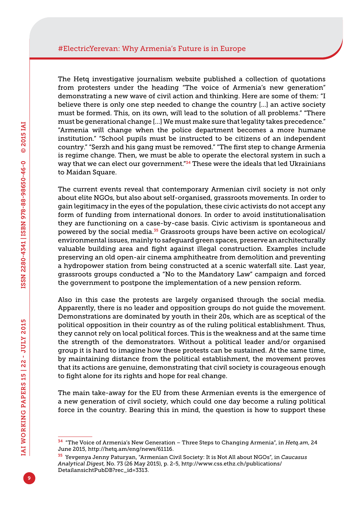The Hetq investigative journalism website published a collection of quotations from protesters under the heading "The voice of Armenia's new generation" demonstrating a new wave of civil action and thinking. Here are some of them: "I believe there is only one step needed to change the country [...] an active society must be formed. This, on its own, will lead to the solution of all problems." "There must be generational change […] We must make sure that legality takes precedence." "Armenia will change when the police department becomes a more humane institution." "School pupils must be instructed to be citizens of an independent country." "Serzh and his gang must be removed." "The first step to change Armenia is regime change. Then, we must be able to operate the electoral system in such a way that we can elect our government."34 These were the ideals that led Ukrainians to Maidan Square.

The current events reveal that contemporary Armenian civil society is not only about elite NGOs, but also about self-organised, grassroots movements. In order to gain legitimacy in the eyes of the population, these civic activists do not accept any form of funding from international donors. In order to avoid institutionalisation they are functioning on a case-by-case basis. Civic activism is spontaneous and powered by the social media.35 Grassroots groups have been active on ecological/ environmental issues, mainly to safeguard green spaces, preserve an architecturally valuable building area and fight against illegal construction. Examples include preserving an old open-air cinema amphitheatre from demolition and preventing a hydropower station from being constructed at a scenic waterfall site. Last year, grassroots groups conducted a "No to the Mandatory Law" campaign and forced the government to postpone the implementation of a new pension reform.

Also in this case the protests are largely organised through the social media. Apparently, there is no leader and opposition groups do not guide the movement. Demonstrations are dominated by youth in their 20s, which are as sceptical of the political opposition in their country as of the ruling political establishment. Thus, they cannot rely on local political forces. This is the weakness and at the same time the strength of the demonstrators. Without a political leader and/or organised group it is hard to imagine how these protests can be sustained. At the same time, by maintaining distance from the political establishment, the movement proves that its actions are genuine, demonstrating that civil society is courageous enough to fight alone for its rights and hope for real change.

The main take-away for the EU from these Armenian events is the emergence of a new generation of civil society, which could one day become a ruling political force in the country. Bearing this in mind, the question is how to support these

<sup>34</sup> "The Voice of Armenia's New Generation – Three Steps to Changing Armenia", in *<Hetq.am>*, 24 June 2015, <http://hetq.am/eng/news/61116>.

<sup>35</sup> Yevgenya Jenny Paturyan, "Armenian Civil Society: It is Not All about NGOs", in *Caucasus Analytical Digest*, No. 73 (26 May 2015), p. 2-5, [http://www.css.ethz.ch/publications/](http://www.css.ethz.ch/publications/DetailansichtPubDB?rec_id=3313) [DetailansichtPubDB?rec\\_id=3313.](http://www.css.ethz.ch/publications/DetailansichtPubDB?rec_id=3313)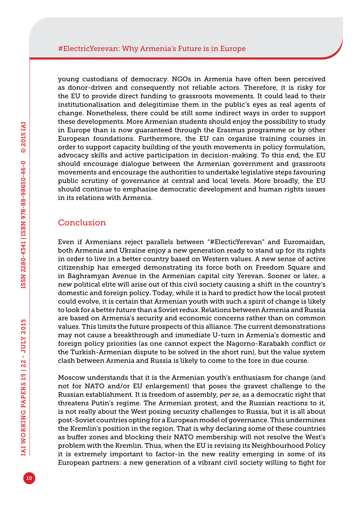young custodians of democracy. NGOs in Armenia have often been perceived as donor-driven and consequently not reliable actors. Therefore, it is risky for the EU to provide direct funding to grassroots movements. It could lead to their institutionalisation and delegitimise them in the public's eyes as real agents of change. Nonetheless, there could be still some indirect ways in order to support these developments. More Armenian students should enjoy the possibility to study in Europe than is now guaranteed through the Erasmus programme or by other European foundations. Furthermore, the EU can organise training courses in order to support capacity building of the youth movements in policy formulation, advocacy skills and active participation in decision-making. To this end, the EU should encourage dialogue between the Armenian government and grassroots movements and encourage the authorities to undertake legislative steps favouring public scrutiny of governance at central and local levels. More broadly, the EU should continue to emphasise democratic development and human rights issues in its relations with Armenia.

#### Conclusion

Even if Armenians reject parallels between "#ElecticYerevan" and Euromaidan, both Armenia and Ukraine enjoy a new generation ready to stand up for its rights in order to live in a better country based on Western values. A new sense of active citizenship has emerged demonstrating its force both on Freedom Square and in Baghramyan Avenue in the Armenian capital city Yerevan. Sooner or later, a new political elite will arise out of this civil society causing a shift in the country's domestic and foreign policy. Today, while it is hard to predict how the local protest could evolve, it is certain that Armenian youth with such a spirit of change is likely to look for a better future than a Soviet redux. Relations between Armenia and Russia are based on Armenia's security and economic concerns rather than on common values. This limits the future prospects of this alliance. The current demonstrations may not cause a breakthrough and immediate U-turn in Armenia's domestic and foreign policy priorities (as one cannot expect the Nagorno-Karabakh conflict or the Turkish-Armenian dispute to be solved in the short run), but the value system clash between Armenia and Russia is likely to come to the fore in due course.

Moscow understands that it is the Armenian youth's enthusiasm for change (and not for NATO and/or EU enlargement) that poses the gravest challenge to the Russian establishment. It is freedom of assembly, *per se*, as a democratic right that threatens Putin's regime. The Armenian protest, and the Russian reactions to it, is not really about the West posing security challenges to Russia, but it is all about post-Soviet countries opting for a European model of governance. This undermines the Kremlin's position in the region. That is why declaring some of these countries as buffer zones and blocking their NATO membership will not resolve the West's problem with the Kremlin. Thus, when the EU is revising its Neighbourhood Policy it is extremely important to factor-in the new reality emerging in some of its European partners: a new generation of a vibrant civil society willing to fight for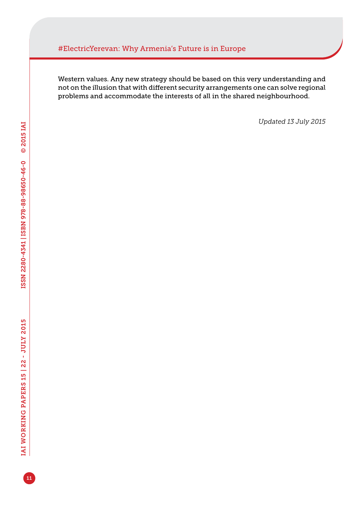#### #ElectricYerevan: Why Armenia's Future is in Europe

Western values. Any new strategy should be based on this very understanding and not on the illusion that with different security arrangements one can solve regional problems and accommodate the interests of all in the shared neighbourhood.

*Updated 13 July 2015*

11